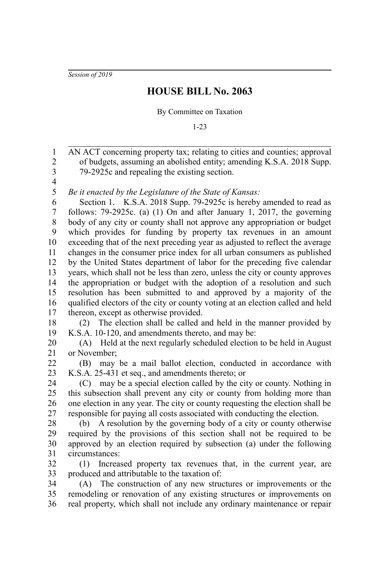*Session of 2019*

## **HOUSE BILL No. 2063**

## By Committee on Taxation

1-23

AN ACT concerning property tax; relating to cities and counties; approval of budgets, assuming an abolished entity; amending K.S.A. 2018 Supp. 79-2925c and repealing the existing section. 1 2 3

4 5

*Be it enacted by the Legislature of the State of Kansas:*

Section 1. K.S.A. 2018 Supp. 79-2925c is hereby amended to read as follows: 79-2925c. (a) (1) On and after January 1, 2017, the governing body of any city or county shall not approve any appropriation or budget which provides for funding by property tax revenues in an amount exceeding that of the next preceding year as adjusted to reflect the average changes in the consumer price index for all urban consumers as published by the United States department of labor for the preceding five calendar years, which shall not be less than zero, unless the city or county approves the appropriation or budget with the adoption of a resolution and such resolution has been submitted to and approved by a majority of the qualified electors of the city or county voting at an election called and held thereon, except as otherwise provided. 6 7 8 9 10 11 12 13 14 15 16 17

(2) The election shall be called and held in the manner provided by K.S.A. 10-120, and amendments thereto, and may be: 18 19

(A) Held at the next regularly scheduled election to be held in August or November; 20 21

(B) may be a mail ballot election, conducted in accordance with K.S.A. 25-431 et seq., and amendments thereto; or 22 23

(C) may be a special election called by the city or county. Nothing in this subsection shall prevent any city or county from holding more than one election in any year. The city or county requesting the election shall be responsible for paying all costs associated with conducting the election. 24 25 26 27

(b) A resolution by the governing body of a city or county otherwise required by the provisions of this section shall not be required to be approved by an election required by subsection (a) under the following circumstances: 28 29 30 31

(1) Increased property tax revenues that, in the current year, are produced and attributable to the taxation of: 32 33

(A) The construction of any new structures or improvements or the remodeling or renovation of any existing structures or improvements on real property, which shall not include any ordinary maintenance or repair 34 35 36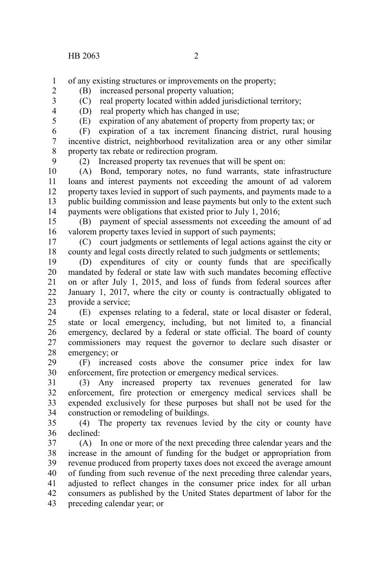of any existing structures or improvements on the property; 1

- (B) increased personal property valuation;
	- (C) real property located within added jurisdictional territory;
- 3 4 5

2

(D) real property which has changed in use;

(E) expiration of any abatement of property from property tax; or

(F) expiration of a tax increment financing district, rural housing incentive district, neighborhood revitalization area or any other similar property tax rebate or redirection program. 6 7 8

9

(2) Increased property tax revenues that will be spent on:

(A) Bond, temporary notes, no fund warrants, state infrastructure loans and interest payments not exceeding the amount of ad valorem property taxes levied in support of such payments, and payments made to a public building commission and lease payments but only to the extent such payments were obligations that existed prior to July 1, 2016; 10 11 12 13 14

(B) payment of special assessments not exceeding the amount of ad valorem property taxes levied in support of such payments; 15 16

(C) court judgments or settlements of legal actions against the city or county and legal costs directly related to such judgments or settlements; 17 18

(D) expenditures of city or county funds that are specifically mandated by federal or state law with such mandates becoming effective on or after July 1, 2015, and loss of funds from federal sources after January 1, 2017, where the city or county is contractually obligated to provide a service; 19 20 21 22 23

(E) expenses relating to a federal, state or local disaster or federal, state or local emergency, including, but not limited to, a financial emergency, declared by a federal or state official. The board of county commissioners may request the governor to declare such disaster or emergency; or 24 25 26 27 28

(F) increased costs above the consumer price index for law enforcement, fire protection or emergency medical services. 29 30

(3) Any increased property tax revenues generated for law enforcement, fire protection or emergency medical services shall be expended exclusively for these purposes but shall not be used for the construction or remodeling of buildings. 31 32 33 34

(4) The property tax revenues levied by the city or county have declined: 35 36

(A) In one or more of the next preceding three calendar years and the increase in the amount of funding for the budget or appropriation from revenue produced from property taxes does not exceed the average amount of funding from such revenue of the next preceding three calendar years, adjusted to reflect changes in the consumer price index for all urban consumers as published by the United States department of labor for the preceding calendar year; or 37 38 39 40 41 42 43